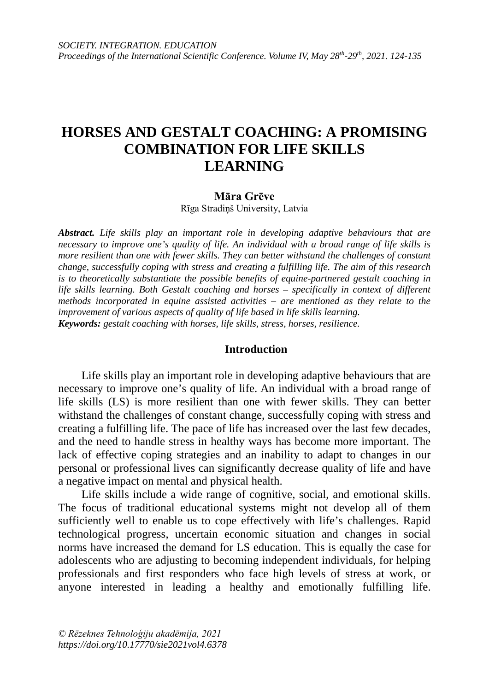# **HORSES AND GESTALT COACHING: A PROMISING COMBINATION FOR LIFE SKILLS LEARNING**

#### **Māra Grēve**

Rīga Stradiņš University, Latvia

*Abstract. Life skills play an important role in developing adaptive behaviours that are necessary to improve one's quality of life. An individual with a broad range of life skills is more resilient than one with fewer skills. They can better withstand the challenges of constant change, successfully coping with stress and creating a fulfilling life. The aim of this research is to theoretically substantiate the possible benefits of equine-partnered gestalt coaching in life skills learning. Both Gestalt coaching and horses – specifically in context of different methods incorporated in equine assisted activities – are mentioned as they relate to the improvement of various aspects of quality of life based in life skills learning. Keywords: gestalt coaching with horses, life skills, stress, horses, resilience.*

### **Introduction**

Life skills play an important role in developing adaptive behaviours that are necessary to improve one's quality of life. An individual with a broad range of life skills (LS) is more resilient than one with fewer skills. They can better withstand the challenges of constant change, successfully coping with stress and creating a fulfilling life. The pace of life has increased over the last few decades, and the need to handle stress in healthy ways has become more important. The lack of effective coping strategies and an inability to adapt to changes in our personal or professional lives can significantly decrease quality of life and have a negative impact on mental and physical health.

Life skills include a wide range of cognitive, social, and emotional skills. The focus of traditional educational systems might not develop all of them sufficiently well to enable us to cope effectively with life's challenges. Rapid technological progress, uncertain economic situation and changes in social norms have increased the demand for LS education. This is equally the case for adolescents who are adjusting to becoming independent individuals, for helping professionals and first responders who face high levels of stress at work, or anyone interested in leading a healthy and emotionally fulfilling life.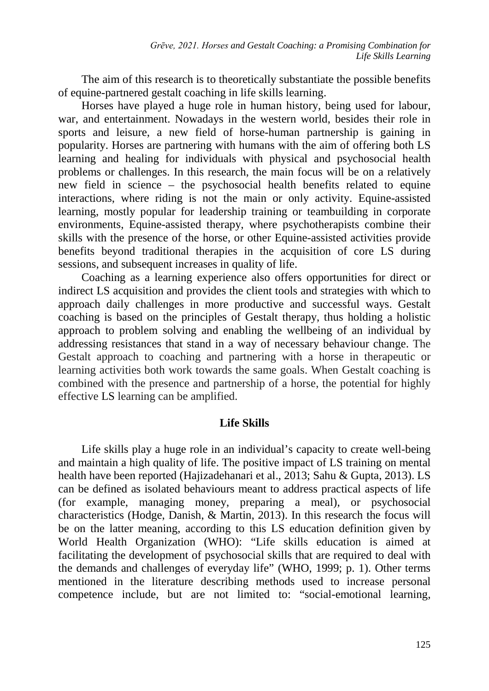The aim of this research is to theoretically substantiate the possible benefits of equine-partnered gestalt coaching in life skills learning.

Horses have played a huge role in human history, being used for labour, war, and entertainment. Nowadays in the western world, besides their role in sports and leisure, a new field of horse-human partnership is gaining in popularity. Horses are partnering with humans with the aim of offering both LS learning and healing for individuals with physical and psychosocial health problems or challenges. In this research, the main focus will be on a relatively new field in science – the psychosocial health benefits related to equine interactions, where riding is not the main or only activity. Equine-assisted learning, mostly popular for leadership training or teambuilding in corporate environments, Equine-assisted therapy, where psychotherapists combine their skills with the presence of the horse, or other Equine-assisted activities provide benefits beyond traditional therapies in the acquisition of core LS during sessions, and subsequent increases in quality of life.

Coaching as a learning experience also offers opportunities for direct or indirect LS acquisition and provides the client tools and strategies with which to approach daily challenges in more productive and successful ways. Gestalt coaching is based on the principles of Gestalt therapy, thus holding a holistic approach to problem solving and enabling the wellbeing of an individual by addressing resistances that stand in a way of necessary behaviour change. The Gestalt approach to coaching and partnering with a horse in therapeutic or learning activities both work towards the same goals. When Gestalt coaching is combined with the presence and partnership of a horse, the potential for highly effective LS learning can be amplified.

# **Life Skills**

Life skills play a huge role in an individual's capacity to create well-being and maintain a high quality of life. The positive impact of LS training on mental health have been reported (Hajizadehanari et al., 2013; Sahu & Gupta, 2013). LS can be defined as isolated behaviours meant to address practical aspects of life (for example, managing money, preparing a meal), or psychosocial characteristics (Hodge, Danish, & Martin, 2013). In this research the focus will be on the latter meaning, according to this LS education definition given by World Health Organization (WHO): "Life skills education is aimed at facilitating the development of psychosocial skills that are required to deal with the demands and challenges of everyday life" (WHO, 1999; p. 1). Other terms mentioned in the literature describing methods used to increase personal competence include, but are not limited to: "social-emotional learning,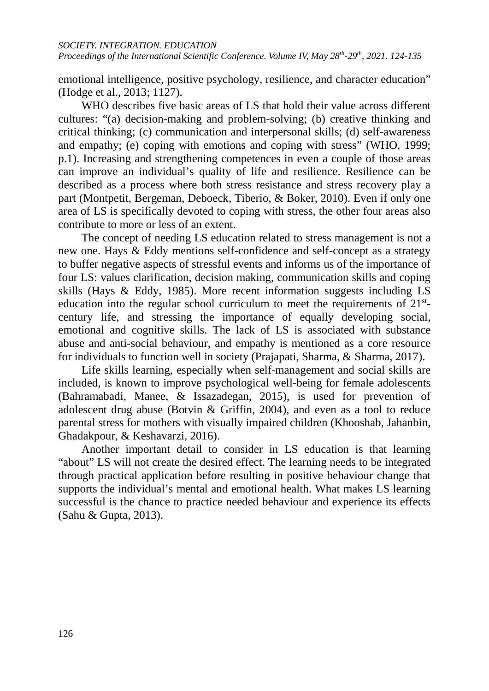emotional intelligence, positive psychology, resilience, and character education" (Hodge et al., 2013; 1127).

WHO describes five basic areas of LS that hold their value across different cultures: "(a) decision-making and problem-solving; (b) creative thinking and critical thinking; (c) communication and interpersonal skills; (d) self-awareness and empathy; (e) coping with emotions and coping with stress" (WHO, 1999; p.1). Increasing and strengthening competences in even a couple of those areas can improve an individual's quality of life and resilience. Resilience can be described as a process where both stress resistance and stress recovery play a part (Montpetit, Bergeman, Deboeck, Tiberio, & Boker, 2010). Even if only one area of LS is specifically devoted to coping with stress, the other four areas also contribute to more or less of an extent.

The concept of needing LS education related to stress management is not a new one. Hays & Eddy mentions self-confidence and self-concept as a strategy to buffer negative aspects of stressful events and informs us of the importance of four LS: values clarification, decision making, communication skills and coping skills (Hays & Eddy, 1985). More recent information suggests including LS education into the regular school curriculum to meet the requirements of  $21<sup>st</sup>$ century life, and stressing the importance of equally developing social, emotional and cognitive skills. The lack of LS is associated with substance abuse and anti-social behaviour, and empathy is mentioned as a core resource for individuals to function well in society (Prajapati, Sharma, & Sharma, 2017).

Life skills learning, especially when self-management and social skills are included, is known to improve psychological well-being for female adolescents (Bahramabadi, Manee, & Issazadegan, 2015), is used for prevention of adolescent drug abuse (Botvin & Griffin, 2004), and even as a tool to reduce parental stress for mothers with visually impaired children (Khooshab, Jahanbin, Ghadakpour, & Keshavarzi, 2016).

Another important detail to consider in LS education is that learning "about" LS will not create the desired effect. The learning needs to be integrated through practical application before resulting in positive behaviour change that supports the individual's mental and emotional health. What makes LS learning successful is the chance to practice needed behaviour and experience its effects (Sahu & Gupta, 2013).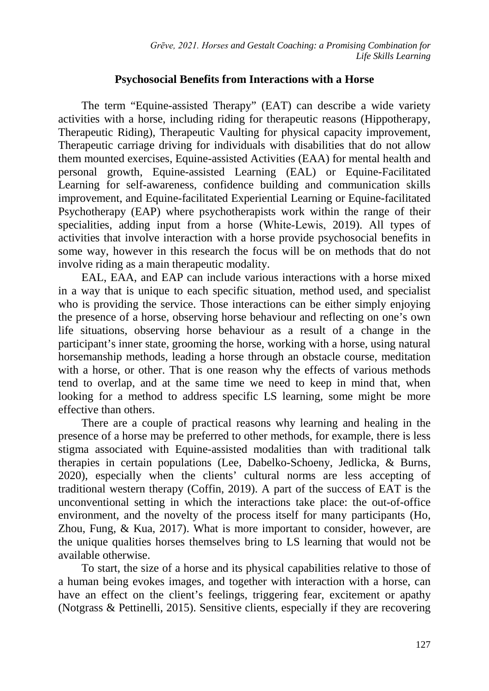# **Psychosocial Benefits from Interactions with a Horse**

The term "Equine-assisted Therapy" (EAT) can describe a wide variety activities with a horse, including riding for therapeutic reasons (Hippotherapy, Therapeutic Riding), Therapeutic Vaulting for physical capacity improvement, Therapeutic carriage driving for individuals with disabilities that do not allow them mounted exercises, Equine-assisted Activities (EAA) for mental health and personal growth, Equine-assisted Learning (EAL) or Equine-Facilitated Learning for self-awareness, confidence building and communication skills improvement, and Equine-facilitated Experiential Learning or Equine-facilitated Psychotherapy (EAP) where psychotherapists work within the range of their specialities, adding input from a horse (White-Lewis, 2019). All types of activities that involve interaction with a horse provide psychosocial benefits in some way, however in this research the focus will be on methods that do not involve riding as a main therapeutic modality.

EAL, EAA, and EAP can include various interactions with a horse mixed in a way that is unique to each specific situation, method used, and specialist who is providing the service. Those interactions can be either simply enjoying the presence of a horse, observing horse behaviour and reflecting on one's own life situations, observing horse behaviour as a result of a change in the participant's inner state, grooming the horse, working with a horse, using natural horsemanship methods, leading a horse through an obstacle course, meditation with a horse, or other. That is one reason why the effects of various methods tend to overlap, and at the same time we need to keep in mind that, when looking for a method to address specific LS learning, some might be more effective than others.

There are a couple of practical reasons why learning and healing in the presence of a horse may be preferred to other methods, for example, there is less stigma associated with Equine-assisted modalities than with traditional talk therapies in certain populations (Lee, Dabelko-Schoeny, Jedlicka, & Burns, 2020), especially when the clients' cultural norms are less accepting of traditional western therapy (Coffin, 2019). A part of the success of EAT is the unconventional setting in which the interactions take place: the out-of-office environment, and the novelty of the process itself for many participants (Ho, Zhou, Fung, & Kua, 2017). What is more important to consider, however, are the unique qualities horses themselves bring to LS learning that would not be available otherwise.

To start, the size of a horse and its physical capabilities relative to those of a human being evokes images, and together with interaction with a horse, can have an effect on the client's feelings, triggering fear, excitement or apathy (Notgrass & Pettinelli, 2015). Sensitive clients, especially if they are recovering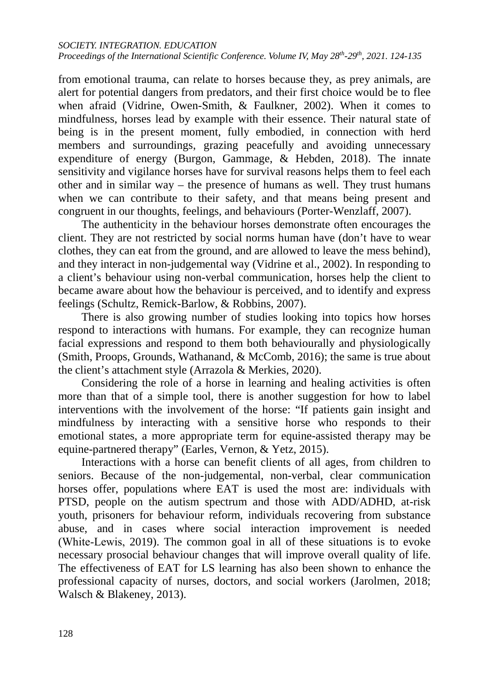from emotional trauma, can relate to horses because they, as prey animals, are alert for potential dangers from predators, and their first choice would be to flee when afraid (Vidrine, Owen-Smith, & Faulkner, 2002). When it comes to mindfulness, horses lead by example with their essence. Their natural state of being is in the present moment, fully embodied, in connection with herd members and surroundings, grazing peacefully and avoiding unnecessary expenditure of energy (Burgon, Gammage, & Hebden, 2018). The innate sensitivity and vigilance horses have for survival reasons helps them to feel each other and in similar way – the presence of humans as well. They trust humans when we can contribute to their safety, and that means being present and congruent in our thoughts, feelings, and behaviours (Porter-Wenzlaff, 2007).

The authenticity in the behaviour horses demonstrate often encourages the client. They are not restricted by social norms human have (don't have to wear clothes, they can eat from the ground, and are allowed to leave the mess behind), and they interact in non-judgemental way (Vidrine et al., 2002). In responding to a client's behaviour using non-verbal communication, horses help the client to became aware about how the behaviour is perceived, and to identify and express feelings (Schultz, Remick-Barlow, & Robbins, 2007).

There is also growing number of studies looking into topics how horses respond to interactions with humans. For example, they can recognize human facial expressions and respond to them both behaviourally and physiologically (Smith, Proops, Grounds, Wathanand, & McComb, 2016); the same is true about the client's attachment style (Arrazola & Merkies, 2020).

Considering the role of a horse in learning and healing activities is often more than that of a simple tool, there is another suggestion for how to label interventions with the involvement of the horse: "If patients gain insight and mindfulness by interacting with a sensitive horse who responds to their emotional states, a more appropriate term for equine-assisted therapy may be equine-partnered therapy" (Earles, Vernon, & Yetz, 2015).

Interactions with a horse can benefit clients of all ages, from children to seniors. Because of the non-judgemental, non-verbal, clear communication horses offer, populations where EAT is used the most are: individuals with PTSD, people on the autism spectrum and those with ADD/ADHD, at-risk youth, prisoners for behaviour reform, individuals recovering from substance abuse, and in cases where social interaction improvement is needed (White‐Lewis, 2019). The common goal in all of these situations is to evoke necessary prosocial behaviour changes that will improve overall quality of life. The effectiveness of EAT for LS learning has also been shown to enhance the professional capacity of nurses, doctors, and social workers (Jarolmen, 2018; Walsch & Blakeney, 2013).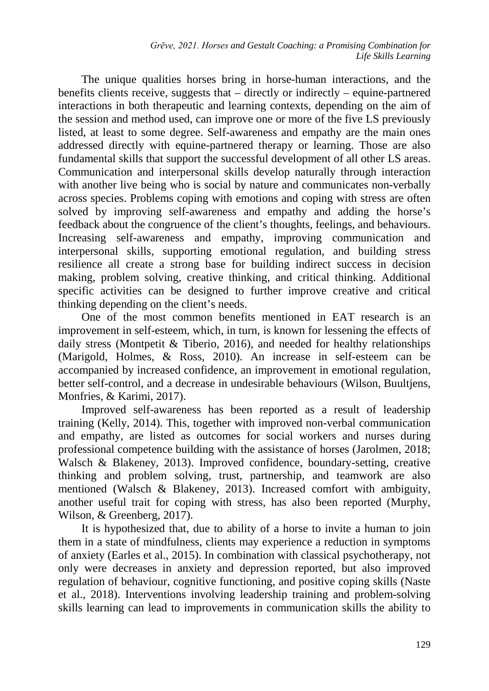The unique qualities horses bring in horse-human interactions, and the benefits clients receive, suggests that – directly or indirectly – equine-partnered interactions in both therapeutic and learning contexts, depending on the aim of the session and method used, can improve one or more of the five LS previously listed, at least to some degree. Self-awareness and empathy are the main ones addressed directly with equine-partnered therapy or learning. Those are also fundamental skills that support the successful development of all other LS areas. Communication and interpersonal skills develop naturally through interaction with another live being who is social by nature and communicates non-verbally across species. Problems coping with emotions and coping with stress are often solved by improving self-awareness and empathy and adding the horse's feedback about the congruence of the client's thoughts, feelings, and behaviours. Increasing self-awareness and empathy, improving communication and interpersonal skills, supporting emotional regulation, and building stress resilience all create a strong base for building indirect success in decision making, problem solving, creative thinking, and critical thinking. Additional specific activities can be designed to further improve creative and critical thinking depending on the client's needs.

One of the most common benefits mentioned in EAT research is an improvement in self-esteem, which, in turn, is known for lessening the effects of daily stress (Montpetit & Tiberio, 2016), and needed for healthy relationships (Marigold, Holmes, & Ross, 2010). An increase in self-esteem can be accompanied by increased confidence, an improvement in emotional regulation, better self-control, and a decrease in undesirable behaviours [\(Wilson,](https://pubmed.ncbi.nlm.nih.gov/?term=Wilson+K&cauthor_id=26668260) [Buultjens,](https://pubmed.ncbi.nlm.nih.gov/?term=Buultjens+M&cauthor_id=26668260) [Monfries,](https://pubmed.ncbi.nlm.nih.gov/?term=Monfries+M&cauthor_id=26668260) & [Karimi,](https://pubmed.ncbi.nlm.nih.gov/?term=Karimi+L&cauthor_id=26668260) 2017).

Improved self-awareness has been reported as a result of leadership training (Kelly, 2014). This, together with improved non-verbal communication and empathy, are listed as outcomes for social workers and nurses during professional competence building with the assistance of horses (Jarolmen, 2018; Walsch & Blakeney, 2013). Improved confidence, boundary-setting, creative thinking and problem solving, trust, partnership, and teamwork are also mentioned (Walsch & Blakeney, 2013). Increased comfort with ambiguity, another useful trait for coping with stress, has also been reported (Murphy, Wilson, & Greenberg, 2017).

It is hypothesized that, due to ability of a horse to invite a human to join them in a state of mindfulness, clients may experience a reduction in symptoms of anxiety (Earles et al., 2015). In combination with classical psychotherapy, not only were decreases in anxiety and depression reported, but also improved regulation of behaviour, cognitive functioning, and positive coping skills (Naste et al., 2018). Interventions involving leadership training and problem-solving skills learning can lead to improvements in communication skills the ability to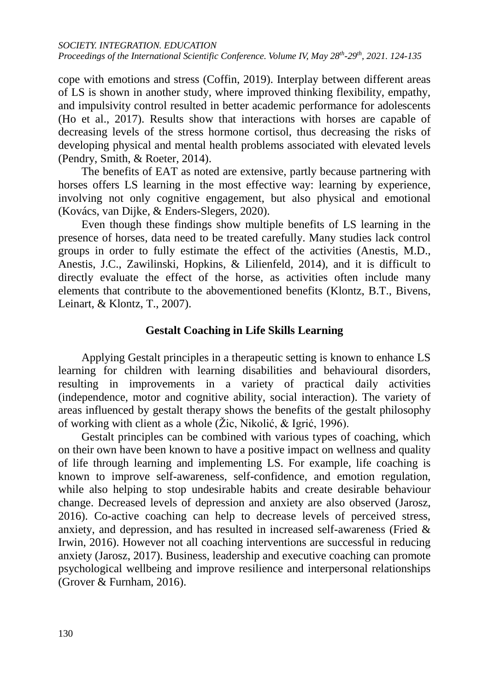*SOCIETY. INTEGRATION. EDUCATION Proceedings of the International Scientific Conference. Volume IV, May 28th-29th, 2021. 124-135*

cope with emotions and stress (Coffin, 2019). Interplay between different areas of LS is shown in another study, where improved thinking flexibility, empathy, and impulsivity control resulted in better academic performance for adolescents (Ho et al., 2017). Results show that interactions with horses are capable of decreasing levels of the stress hormone cortisol, thus decreasing the risks of developing physical and mental health problems associated with elevated levels (Pendry, Smith, & Roeter, 2014).

The benefits of EAT as noted are extensive, partly because partnering with horses offers LS learning in the most effective way: learning by experience, involving not only cognitive engagement, but also physical and emotional (Kovács, van Dijke, & Enders-Slegers, 2020).

Even though these findings show multiple benefits of LS learning in the presence of horses, data need to be treated carefully. Many studies lack control groups in order to fully estimate the effect of the activities (Anestis, M.D., Anestis, J.C., Zawilinski, Hopkins, & Lilienfeld, 2014), and it is difficult to directly evaluate the effect of the horse, as activities often include many elements that contribute to the abovementioned benefits (Klontz, B.T., Bivens, Leinart, & Klontz, T., 2007).

### **Gestalt Coaching in Life Skills Learning**

Applying Gestalt principles in a therapeutic setting is known to enhance LS learning for children with learning disabilities and behavioural disorders, resulting in improvements in a variety of practical daily activities (independence, motor and cognitive ability, social interaction). The variety of areas influenced by gestalt therapy shows the benefits of the gestalt philosophy of working with client as a whole (Žic, Nikolić, & Igrić, 1996).

Gestalt principles can be combined with various types of coaching, which on their own have been known to have a positive impact on wellness and quality of life through learning and implementing LS. For example, life coaching is known to improve self-awareness, self-confidence, and emotion regulation, while also helping to stop undesirable habits and create desirable behaviour change. Decreased levels of depression and anxiety are also observed (Jarosz, 2016). Co-active coaching can help to decrease levels of perceived stress, anxiety, and depression, and has resulted in increased self-awareness (Fried & Irwin, 2016). However not all coaching interventions are successful in reducing anxiety (Jarosz, 2017). Business, leadership and executive coaching can promote psychological wellbeing and improve resilience and interpersonal relationships (Grover & Furnham, 2016).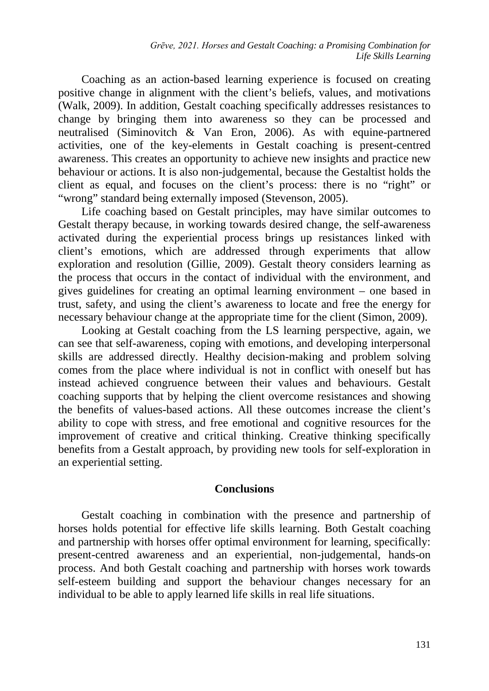Coaching as an action-based learning experience is focused on creating positive change in alignment with the client's beliefs, values, and motivations (Walk, 2009). In addition, Gestalt coaching specifically addresses resistances to change by bringing them into awareness so they can be processed and neutralised (Siminovitch & Van Eron, 2006). As with equine-partnered activities, one of the key-elements in Gestalt coaching is present-centred awareness. This creates an opportunity to achieve new insights and practice new behaviour or actions. It is also non-judgemental, because the Gestaltist holds the client as equal, and focuses on the client's process: there is no "right" or "wrong" standard being externally imposed (Stevenson, 2005).

Life coaching based on Gestalt principles, may have similar outcomes to Gestalt therapy because, in working towards desired change, the self-awareness activated during the experiential process brings up resistances linked with client's emotions, which are addressed through experiments that allow exploration and resolution (Gillie, 2009). Gestalt theory considers learning as the process that occurs in the contact of individual with the environment, and gives guidelines for creating an optimal learning environment – one based in trust, safety, and using the client's awareness to locate and free the energy for necessary behaviour change at the appropriate time for the client (Simon, 2009).

Looking at Gestalt coaching from the LS learning perspective, again, we can see that self-awareness, coping with emotions, and developing interpersonal skills are addressed directly. Healthy decision-making and problem solving comes from the place where individual is not in conflict with oneself but has instead achieved congruence between their values and behaviours. Gestalt coaching supports that by helping the client overcome resistances and showing the benefits of values-based actions. All these outcomes increase the client's ability to cope with stress, and free emotional and cognitive resources for the improvement of creative and critical thinking. Creative thinking specifically benefits from a Gestalt approach, by providing new tools for self-exploration in an experiential setting.

# **Conclusions**

Gestalt coaching in combination with the presence and partnership of horses holds potential for effective life skills learning. Both Gestalt coaching and partnership with horses offer optimal environment for learning, specifically: present-centred awareness and an experiential, non-judgemental, hands-on process. And both Gestalt coaching and partnership with horses work towards self-esteem building and support the behaviour changes necessary for an individual to be able to apply learned life skills in real life situations.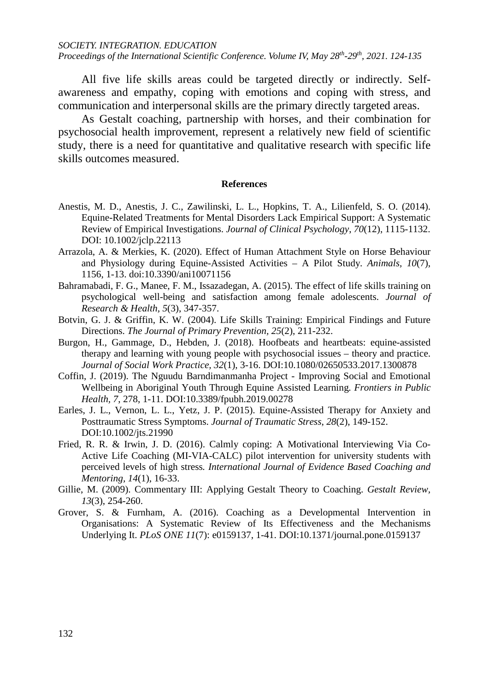*SOCIETY. INTEGRATION. EDUCATION Proceedings of the International Scientific Conference. Volume IV, May 28th-29th, 2021. 124-135*

All five life skills areas could be targeted directly or indirectly. Selfawareness and empathy, coping with emotions and coping with stress, and communication and interpersonal skills are the primary directly targeted areas.

As Gestalt coaching, partnership with horses, and their combination for psychosocial health improvement, represent a relatively new field of scientific study, there is a need for quantitative and qualitative research with specific life skills outcomes measured.

#### **References**

- Anestis, M. D., Anestis, J. C., Zawilinski, L. L., Hopkins, T. A., Lilienfeld, S. O. (2014). Equine-Related Treatments for Mental Disorders Lack Empirical Support: A Systematic Review of Empirical Investigations. *Journal of Clinical Psychology*, *70*(12), 1115-1132. DOI: 10.1002/jclp.22113
- Arrazola, A. & Merkies, K. (2020). Effect of Human Attachment Style on Horse Behaviour and Physiology during Equine-Assisted Activities – A Pilot Study. *Animals, 10*(7), 1156, 1-13. doi:10.3390/ani10071156
- Bahramabadi, F. G., Manee, F. M., Issazadegan, A. (2015). The effect of life skills training on psychological well-being and satisfaction among female adolescents. *Journal of Research & Health, 5*(3), 347-357.
- Botvin, G. J. & Griffin, K. W. (2004). Life Skills Training: Empirical Findings and Future Directions. *The Journal of Primary Prevention, 25*(2), 211-232.
- Burgon, H., Gammage, D., Hebden, J. (2018). Hoofbeats and heartbeats: equine-assisted therapy and learning with young people with psychosocial issues – theory and practice. *Journal of Social Work Practice, 32*(1), 3-16. DOI:10.1080/02650533.2017.1300878
- Coffin, J. (2019). The Nguudu Barndimanmanha Project Improving Social and Emotional Wellbeing in Aboriginal Youth Through Equine Assisted Learning*. Frontiers in Public Health, 7*, 278, 1-11. DOI:10.3389/fpubh.2019.00278
- Earles, J. L., Vernon, L. L., Yetz, J. P. (2015). Equine-Assisted Therapy for Anxiety and Posttraumatic Stress Symptoms. *Journal of Traumatic Stress*, *28*(2), 149-152. DOI:10.1002/jts.21990
- Fried, R. R. & Irwin, J. D. (2016). Calmly coping: A Motivational Interviewing Via Co-Active Life Coaching (MI-VIA-CALC) pilot intervention for university students with perceived levels of high stress*. International Journal of Evidence Based Coaching and Mentoring, 14*(1), 16-33.
- Gillie, M. (2009). Commentary III: Applying Gestalt Theory to Coaching. *Gestalt Review, 13*(3), 254-260.
- Grover, S. & Furnham, A. (2016). Coaching as a Developmental Intervention in Organisations: A Systematic Review of Its Effectiveness and the Mechanisms Underlying It. *PLoS ONE 11*(7): e0159137, 1-41. DOI:10.1371/journal.pone.0159137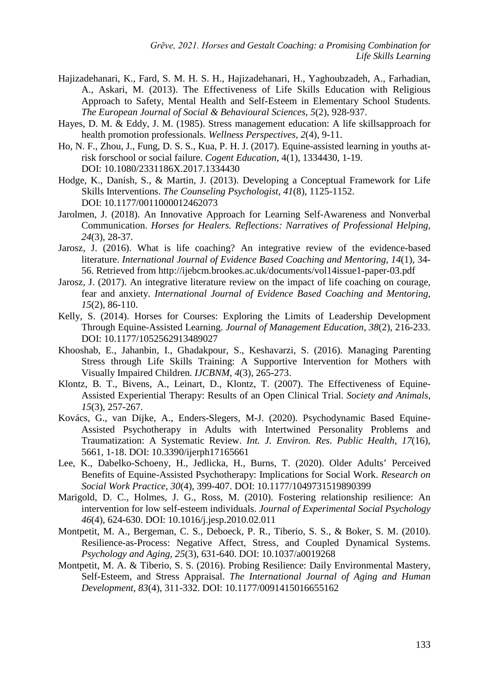- Hajizadehanari, K., Fard, S. M. H. S. H., Hajizadehanari, H., Yaghoubzadeh, A., Farhadian, A., Askari, M. (2013). The Effectiveness of Life Skills Education with Religious Approach to Safety, Mental Health and Self-Esteem in Elementary School Students*. The European Journal of Social & Behavioural Sciences, 5*(2), 928-937.
- Hayes, D. M. & Eddy, J. M. (1985). Stress management education: A life skillsapproach for health promotion professionals. *Wellness Perspectives, 2*(4), 9-11.
- Ho, N. F., Zhou, J., Fung, D. S. S., Kua, P. H. J. (2017). Equine-assisted learning in youths atrisk forschool or social failure. *Cogent Education*, 4(1), 1334430, 1-19. DOI: 10.1080/2331186X.2017.1334430
- Hodge, K., Danish, S., & Martin, J. (2013). Developing a Conceptual Framework for Life Skills Interventions. *The Counseling Psychologist, 41*(8), 1125-1152. DOI: 10.1177/0011000012462073
- Jarolmen, J. (2018). An Innovative Approach for Learning Self-Awareness and Nonverbal Communication. *Horses for Healers. Reflection[s: Narratives of Professional Helping,](https://reflectionsnarrativesofprofessionalhelping.org/index.php/index) 24*(3), 28-37.
- Jarosz, J. (2016). What is life coaching? An integrative review of the evidence-based literature. *International Journal of Evidence Based Coaching and Mentoring*, *14*(1), 34- 56. Retrieved from http://ijebcm.brookes.ac.uk/documents/vol14issue1-paper-03.pdf
- Jarosz, J. (2017). An integrative literature review on the impact of life coaching on courage, fear and anxiety. *International Journal of Evidence Based Coaching and Mentoring*, *15*(2), 86-110.
- Kelly, S. (2014). Horses for Courses: Exploring the Limits of Leadership Development Through Equine-Assisted Learning. *Journal of Management Education*, *38*(2), 216-233. DOI: 10.1177/1052562913489027
- Khooshab, E., Jahanbin, I., Ghadakpour, S., Keshavarzi, S. (2016). Managing Parenting Stress through Life Skills Training: A Supportive Intervention for Mothers with Visually Impaired Children*. IJCBNM, 4*(3), 265-273.
- Klontz, B. T., Bivens, A., Leinart, D., Klontz, T. (2007). The Effectiveness of Equine-Assisted Experiential Therapy: Results of an Open Clinical Trial. *Society and Animals, 15*(3), 257-267.
- Kovács, G., van Dijke, A., Enders-Slegers, M-J. (2020). Psychodynamic Based Equine-Assisted Psychotherapy in Adults with Intertwined Personality Problems and Traumatization: A Systematic Review. *Int. J. Environ. Res. Public Health, 17*(16), 5661, 1-18. DOI: 10.3390/ijerph17165661
- Lee, K., Dabelko-Schoeny, H., Jedlicka, H., Burns, T. (2020). Older Adults' Perceived Benefits of Equine-Assisted Psychotherapy: Implications for Social Work. *Research on Social Work Practice, 30*(4), 399-407. DOI: 10.1177/1049731519890399
- Marigold, D. C., Holmes, J. G., Ross, M. (2010). Fostering relationship resilience: An intervention for low self-esteem individuals. *Journal of Experimental Social Psychology 46*(4), 624-630. DOI: 10.1016/j.jesp.2010.02.011
- Montpetit, M. A., Bergeman, C. S., Deboeck, P. R., Tiberio, S. S., & Boker, S. M. (2010). Resilience-as-Process: Negative Affect, Stress, and Coupled Dynamical Systems. *Psychology and Aging, 25*(3), 631-640. DOI: 10.1037/a0019268
- Montpetit, M. A. & Tiberio, S. S. (2016). Probing Resilience: Daily Environmental Mastery, Self-Esteem, and Stress Appraisal. *The International Journal of Aging and Human Development, 83*(4), 311-332. DOI: 10.1177/0091415016655162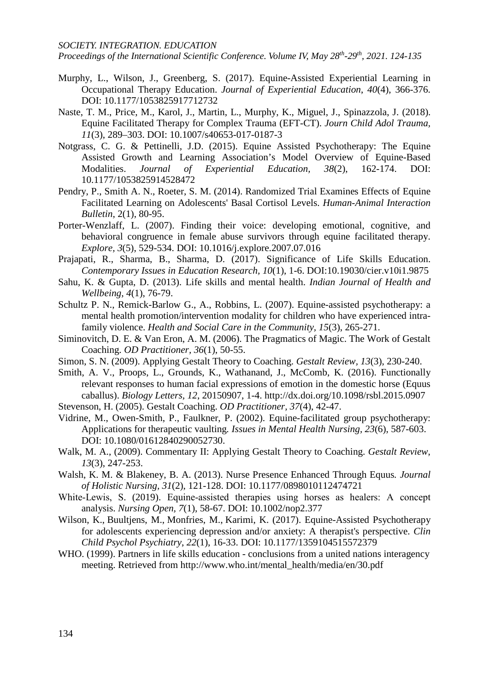#### *SOCIETY. INTEGRATION. EDUCATION*

*Proceedings of the International Scientific Conference. Volume IV, May 28th-29th, 2021. 124-135*

- Murphy, L., Wilson, J., Greenberg, S. (2017). Equine-Assisted Experiential Learning in Occupational Therapy Education. *Journal of Experiential Education*, *40*(4), 366-376. DOI: 10.1177/1053825917712732
- Naste, T. M., Price, M., Karol, J., Martin, L., Murphy, K., Miguel, J., Spinazzola, J. (2018). Equine Facilitated Therapy for Complex Trauma (EFT-CT). *Journ Child Adol Trauma, 11*(3), 289–303. DOI: 10.1007/s40653-017-0187-3
- Notgrass, C. G. & Pettinelli, J.D. (2015). Equine Assisted Psychotherapy: The Equine Assisted Growth and Learning Association's Model Overview of Equine-Based Modalities. *Journal of Experiential Education, 38*(2), 162-174. DOI: 10.1177/1053825914528472
- Pendry, P., Smith A. N., Roeter, S. M. (2014). Randomized Trial Examines Effects of Equine Facilitated Learning on Adolescents' Basal Cortisol Levels. *Human-Animal Interaction Bulletin*, 2(1), 80-95.
- Porter-Wenzlaff, L. (2007). Finding their voice: developing emotional, cognitive, and behavioral congruence in female abuse survivors through equine facilitated therapy. *Explore, 3*(5), 529-534. DOI: 10.1016/j.explore.2007.07.016
- Prajapati, R., Sharma, B., Sharma, D. (2017). Significance of Life Skills Education. *Contemporary Issues in Education Research, 10*(1), 1-6. DOI:10.19030/cier.v10i1.9875
- Sahu, K. & Gupta, D. (2013). Life skills and mental health. *Indian Journal of Health and Wellbeing, 4*(1), 76-79.
- Schultz P. N., Remick-Barlow G., A., Robbins, L. (2007). Equine-assisted psychotherapy: a mental health promotion/intervention modality for children who have experienced intrafamily violence. *Health and Social Care in the Community, 15*(3), 265-271.
- Siminovitch, D. E. & Van Eron, A. M. (2006). The Pragmatics of Magic. The Work of Gestalt Coaching. *OD Practitioner, 36*(1), 50-55.
- Simon, S. N. (2009). Applying Gestalt Theory to Coaching. *Gestalt Review, 13*(3), 230-240.
- Smith, A. V., Proops, L., Grounds, K., Wathanand, J., McComb, K. (2016). Functionally relevant responses to human facial expressions of emotion in the domestic horse (Equus caballus). *Biology Letters, 12*, 20150907, 1-4. http://dx.doi.org/10.1098/rsbl.2015.0907
- Stevenson, H. (2005). Gestalt Coaching. *OD Practitioner, 37*(4), 42-47.
- Vidrine, M., Owen-Smith, P., Faulkner, P. (2002). Equine-facilitated group psychotherapy: Applications for therapeutic vaulting*. Issues in Mental Health Nursing, 23*(6), 587-603. DOI: 10.1080/01612840290052730.
- Walk, M. A., (2009). Commentary II: Applying Gestalt Theory to Coaching. *Gestalt Review*, *13*(3), 247-253.
- Walsh, K. M. & Blakeney, B. A. (2013). Nurse Presence Enhanced Through Equus*. Journal of Holistic Nursing, 31*(2), 121-128. DOI: 10.1177/0898010112474721
- White-Lewis, S. (2019). Equine-assisted therapies using horses as healers: A concept analysis. *Nursing Open, 7*(1), 58-67. DOI: 10.1002/nop2.377
- [Wilson,](https://pubmed.ncbi.nlm.nih.gov/?term=Wilson+K&cauthor_id=26668260) K., [Buultjens,](https://pubmed.ncbi.nlm.nih.gov/?term=Buultjens+M&cauthor_id=26668260) M., [Monfries,](https://pubmed.ncbi.nlm.nih.gov/?term=Monfries+M&cauthor_id=26668260) M., [Karimi,](https://pubmed.ncbi.nlm.nih.gov/?term=Karimi+L&cauthor_id=26668260) K. (2017). Equine-Assisted Psychotherapy for adolescents experiencing depression and/or anxiety: A therapist's perspective. *Clin Child Psychol Psychiatry*, *22*(1), 16-33. DOI: 10.1177/1359104515572379
- WHO. (1999). Partners in life skills education conclusions from a united nations interagency meeting. Retrieved from http://www.who.int/mental\_health/media/en/30.pdf